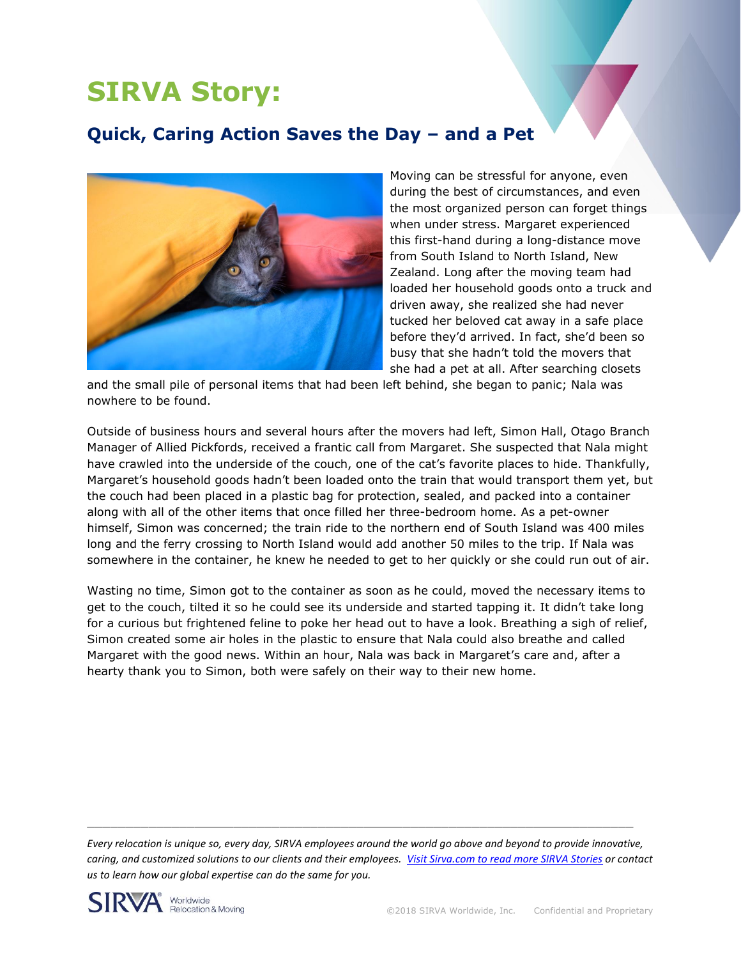## **SIRVA Story:**

## **Quick, Caring Action Saves the Day – and a Pet**



Moving can be stressful for anyone, even during the best of circumstances, and even the most organized person can forget things when under stress. Margaret experienced this first-hand during a long-distance move from South Island to North Island, New Zealand. Long after the moving team had loaded her household goods onto a truck and driven away, she realized she had never tucked her beloved cat away in a safe place before they'd arrived. In fact, she'd been so busy that she hadn't told the movers that she had a pet at all. After searching closets

and the small pile of personal items that had been left behind, she began to panic; Nala was nowhere to be found.

Outside of business hours and several hours after the movers had left, Simon Hall, Otago Branch Manager of Allied Pickfords, received a frantic call from Margaret. She suspected that Nala might have crawled into the underside of the couch, one of the cat's favorite places to hide. Thankfully, Margaret's household goods hadn't been loaded onto the train that would transport them yet, but the couch had been placed in a plastic bag for protection, sealed, and packed into a container along with all of the other items that once filled her three-bedroom home. As a pet-owner himself, Simon was concerned; the train ride to the northern end of South Island was 400 miles long and the ferry crossing to North Island would add another 50 miles to the trip. If Nala was somewhere in the container, he knew he needed to get to her quickly or she could run out of air.

Wasting no time, Simon got to the container as soon as he could, moved the necessary items to get to the couch, tilted it so he could see its underside and started tapping it. It didn't take long for a curious but frightened feline to poke her head out to have a look. Breathing a sigh of relief, Simon created some air holes in the plastic to ensure that Nala could also breathe and called Margaret with the good news. Within an hour, Nala was back in Margaret's care and, after a hearty thank you to Simon, both were safely on their way to their new home.

*Every relocation is unique so, every day, SIRVA employees around the world go above and beyond to provide innovative, caring, and customized solutions to our clients and their employees. [Visit Sirva.com to read more SIRVA Stories](https://www.sirva.com/en-us/why-sirva/sirva-stories) or contact us to learn how our global expertise can do the same for you.*

 $\_$  , and the set of the set of the set of the set of the set of the set of the set of the set of the set of the set of the set of the set of the set of the set of the set of the set of the set of the set of the set of th